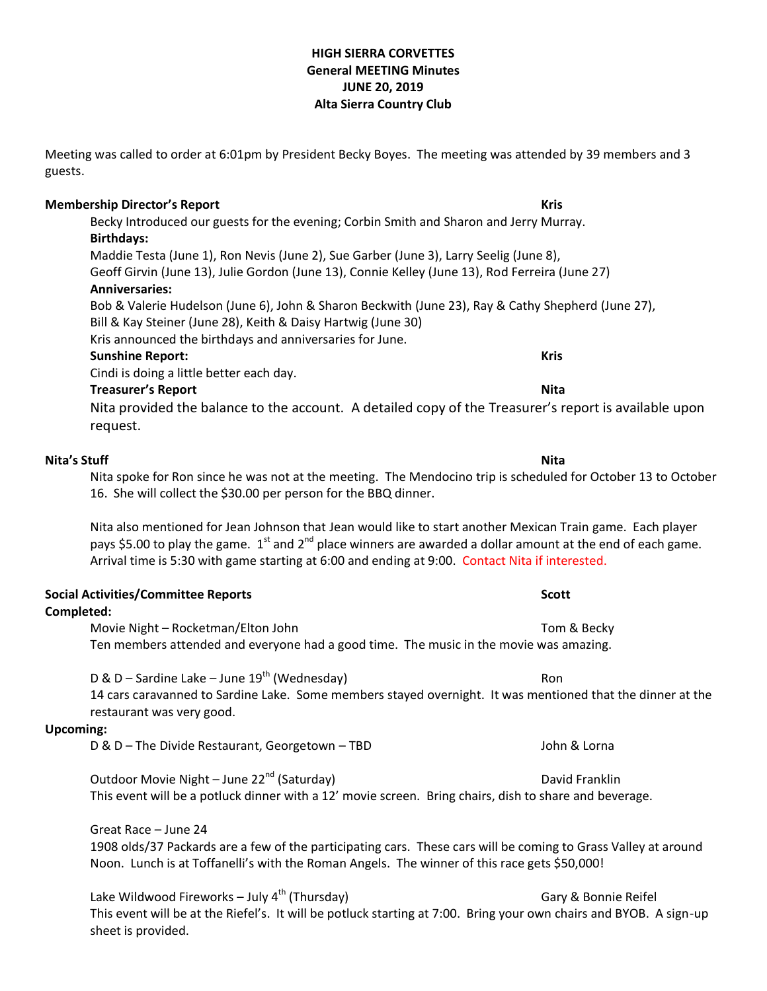#### **HIGH SIERRA CORVETTES General MEETING Minutes JUNE 20, 2019 Alta Sierra Country Club**

Meeting was called to order at 6:01pm by President Becky Boyes. The meeting was attended by 39 members and 3 guests.

### **Membership Director's Report Kris**

Becky Introduced our guests for the evening; Corbin Smith and Sharon and Jerry Murray. **Birthdays:** Maddie Testa (June 1), Ron Nevis (June 2), Sue Garber (June 3), Larry Seelig (June 8), Geoff Girvin (June 13), Julie Gordon (June 13), Connie Kelley (June 13), Rod Ferreira (June 27) **Anniversaries:**

Bob & Valerie Hudelson (June 6), John & Sharon Beckwith (June 23), Ray & Cathy Shepherd (June 27), Bill & Kay Steiner (June 28), Keith & Daisy Hartwig (June 30)

Kris announced the birthdays and anniversaries for June.

# **Sunshine Report: Kris**

Cindi is doing a little better each day.

### **Treasurer's Report Nita**

sheet is provided.

Nita provided the balance to the account. A detailed copy of the Treasurer's report is available upon request.

## **Nita's Stuff Nita**

Nita spoke for Ron since he was not at the meeting. The Mendocino trip is scheduled for October 13 to October 16. She will collect the \$30.00 per person for the BBQ dinner.

Nita also mentioned for Jean Johnson that Jean would like to start another Mexican Train game. Each player pays \$5.00 to play the game. 1<sup>st</sup> and 2<sup>nd</sup> place winners are awarded a dollar amount at the end of each game. Arrival time is 5:30 with game starting at 6:00 and ending at 9:00. Contact Nita if interested.

| <b>Social Activities/Committee Reports</b><br>Completed:                                                                                                                                                       | <b>Scott</b>         |
|----------------------------------------------------------------------------------------------------------------------------------------------------------------------------------------------------------------|----------------------|
| Movie Night - Rocketman/Elton John                                                                                                                                                                             | Tom & Becky          |
| Ten members attended and everyone had a good time. The music in the movie was amazing.                                                                                                                         |                      |
| D & D – Sardine Lake – June $19^{th}$ (Wednesday)                                                                                                                                                              | Ron                  |
| 14 cars caravanned to Sardine Lake. Some members stayed overnight. It was mentioned that the dinner at the<br>restaurant was very good.                                                                        |                      |
| Upcoming:                                                                                                                                                                                                      |                      |
| D & D - The Divide Restaurant, Georgetown - TBD                                                                                                                                                                | John & Lorna         |
| Outdoor Movie Night - June 22 <sup>nd</sup> (Saturday)                                                                                                                                                         | David Franklin       |
| This event will be a potluck dinner with a 12' movie screen. Bring chairs, dish to share and beverage.                                                                                                         |                      |
| Great Race - June 24                                                                                                                                                                                           |                      |
| 1908 olds/37 Packards are a few of the participating cars. These cars will be coming to Grass Valley at around<br>Noon. Lunch is at Toffanelli's with the Roman Angels. The winner of this race gets \$50,000! |                      |
| Lake Wildwood Fireworks - July $4^{th}$ (Thursday)                                                                                                                                                             | Gary & Bonnie Reifel |
| This event will be at the Riefel's. It will be potluck starting at 7:00. Bring your own chairs and BYOB. A sign-up                                                                                             |                      |